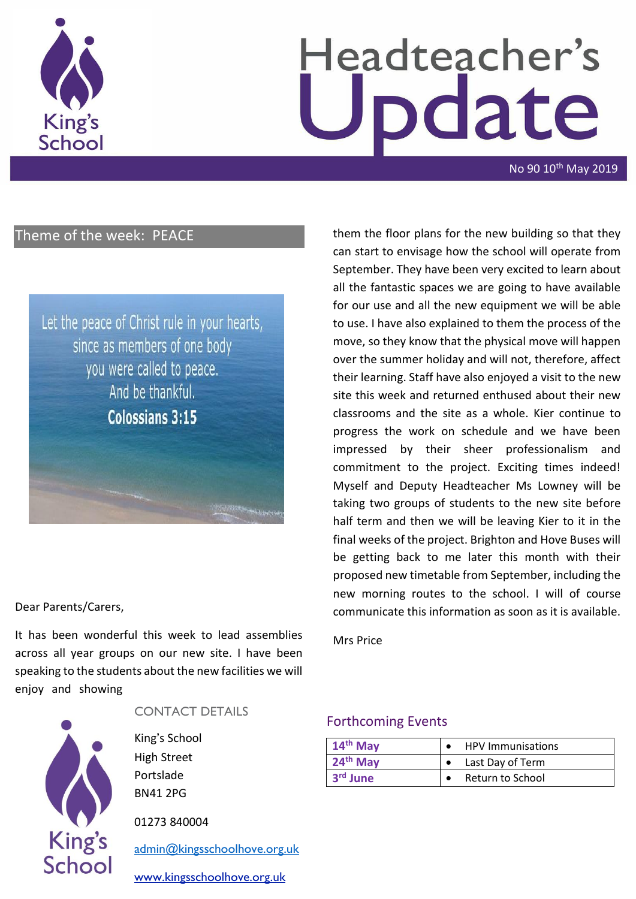

# Headteacher's odate

No 90 10<sup>th</sup> May 2019

## Theme of the week: PEACE

Let the peace of Christ rule in your hearts, since as members of one body you were called to peace. And be thankful. **Colossians 3:15** 

#### Dear Parents/Carers,

It has been wonderful this week to lead assemblies across all year groups on our new site. I have been speaking to the students about the new facilities we will enjoy and showing



#### CONTACT DETAILS

King's School High Street Portslade BN41 2PG

01273 840004

[admin@kingsschoolhove.org.uk](mailto:admin@kingsschoolhove.org.uk)

[www.kingsschoolhove.org.uk](http://www.kingsschoolhove.org.uk/)

them the floor plans for the new building so that they can start to envisage how the school will operate from September. They have been very excited to learn about all the fantastic spaces we are going to have available for our use and all the new equipment we will be able to use. I have also explained to them the process of the move, so they know that the physical move will happen over the summer holiday and will not, therefore, affect their learning. Staff have also enjoyed a visit to the new site this week and returned enthused about their new classrooms and the site as a whole. Kier continue to progress the work on schedule and we have been impressed by their sheer professionalism and commitment to the project. Exciting times indeed! Myself and Deputy Headteacher Ms Lowney will be taking two groups of students to the new site before half term and then we will be leaving Kier to it in the final weeks of the project. Brighton and Hove Buses will be getting back to me later this month with their proposed new timetable from September, including the new morning routes to the school. I will of course communicate this information as soon as it is available.

Mrs Price

#### Forthcoming Events

| 14 <sup>th</sup> May | <b>HPV Immunisations</b> |
|----------------------|--------------------------|
| $24th$ May           | Last Day of Term         |
| 3 <sup>rd</sup> June | Return to School         |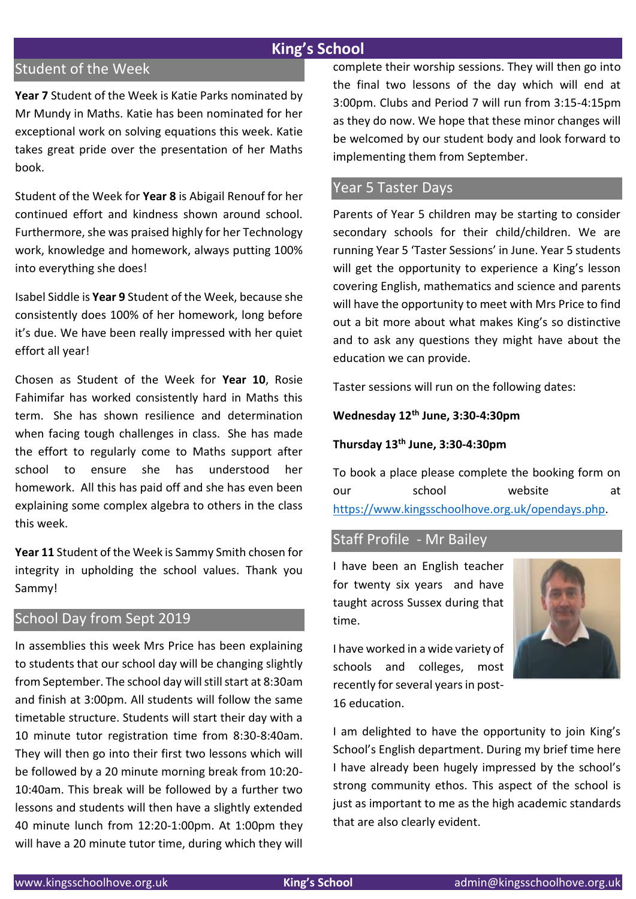## **King's School**

## Student of the Week

**Year 7** Student of the Week is Katie Parks nominated by Mr Mundy in Maths. Katie has been nominated for her exceptional work on solving equations this week. Katie takes great pride over the presentation of her Maths book.

Student of the Week for **Year 8** is Abigail Renouf for her continued effort and kindness shown around school. Furthermore, she was praised highly for her Technology work, knowledge and homework, always putting 100% into everything she does!

Isabel Siddle is **Year 9** Student of the Week, because she consistently does 100% of her homework, long before it's due. We have been really impressed with her quiet effort all year!

Chosen as Student of the Week for **Year 10**, Rosie Fahimifar has worked consistently hard in Maths this term. She has shown resilience and determination when facing tough challenges in class. She has made the effort to regularly come to Maths support after school to ensure she has understood her homework. All this has paid off and she has even been explaining some complex algebra to others in the class this week.

**Year 11** Student of the Week is Sammy Smith chosen for integrity in upholding the school values. Thank you Sammy!

### School Day from Sept 2019

In assemblies this week Mrs Price has been explaining to students that our school day will be changing slightly from September. The school day will still start at 8:30am and finish at 3:00pm. All students will follow the same timetable structure. Students will start their day with a 10 minute tutor registration time from 8:30-8:40am. They will then go into their first two lessons which will be followed by a 20 minute morning break from 10:20- 10:40am. This break will be followed by a further two lessons and students will then have a slightly extended 40 minute lunch from 12:20-1:00pm. At 1:00pm they will have a 20 minute tutor time, during which they will complete their worship sessions. They will then go into the final two lessons of the day which will end at 3:00pm. Clubs and Period 7 will run from 3:15-4:15pm as they do now. We hope that these minor changes will be welcomed by our student body and look forward to implementing them from September.

#### Year 5 Taster Days

Parents of Year 5 children may be starting to consider secondary schools for their child/children. We are running Year 5 'Taster Sessions' in June. Year 5 students will get the opportunity to experience a King's lesson covering English, mathematics and science and parents will have the opportunity to meet with Mrs Price to find out a bit more about what makes King's so distinctive and to ask any questions they might have about the education we can provide.

Taster sessions will run on the following dates:

#### **Wednesday 12th June, 3:30-4:30pm**

#### **Thursday 13th June, 3:30-4:30pm**

To book a place please complete the booking form on our school website at [https://www.kingsschoolhove.org.uk/opendays.php.](https://www.kingsschoolhove.org.uk/opendays.php)

#### Staff Profile - Mr Bailey

I have been an English teacher for twenty six years and have taught across Sussex during that time.

I have worked in a wide variety of schools and colleges, most recently for several years in post-16 education.

I am delighted to have the opportunity to join King's School's English department. During my brief time here I have already been hugely impressed by the school's strong community ethos. This aspect of the school is just as important to me as the high academic standards that are also clearly evident.